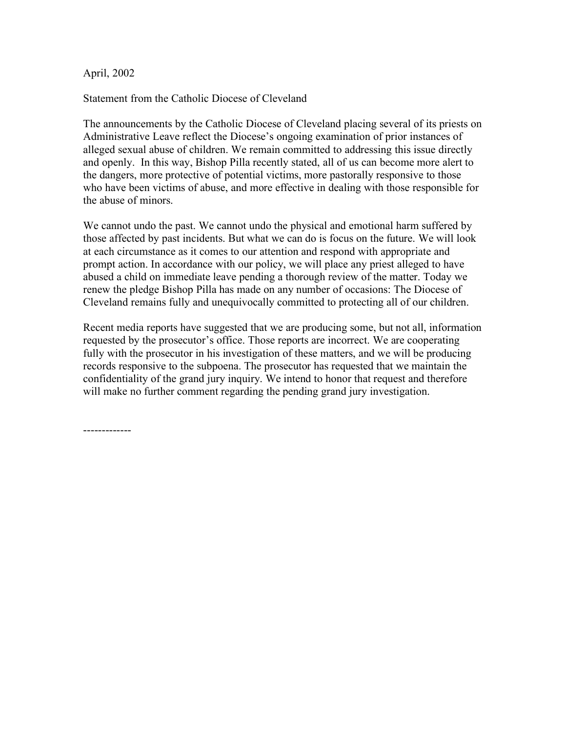April, 2002

Statement from the Catholic Diocese of Cleveland

The announcements by the Catholic Diocese of Cleveland placing several of its priests on Administrative Leave reflect the Diocese's ongoing examination of prior instances of alleged sexual abuse of children. We remain committed to addressing this issue directly and openly. In this way, Bishop Pilla recently stated, all of us can become more alert to the dangers, more protective of potential victims, more pastorally responsive to those who have been victims of abuse, and more effective in dealing with those responsible for the abuse of minors.

We cannot undo the past. We cannot undo the physical and emotional harm suffered by those affected by past incidents. But what we can do is focus on the future. We will look at each circumstance as it comes to our attention and respond with appropriate and prompt action. In accordance with our policy, we will place any priest alleged to have abused a child on immediate leave pending a thorough review of the matter. Today we renew the pledge Bishop Pilla has made on any number of occasions: The Diocese of Cleveland remains fully and unequivocally committed to protecting all of our children.

Recent media reports have suggested that we are producing some, but not all, information requested by the prosecutor's office. Those reports are incorrect. We are cooperating fully with the prosecutor in his investigation of these matters, and we will be producing records responsive to the subpoena. The prosecutor has requested that we maintain the confidentiality of the grand jury inquiry. We intend to honor that request and therefore will make no further comment regarding the pending grand jury investigation.

-------------